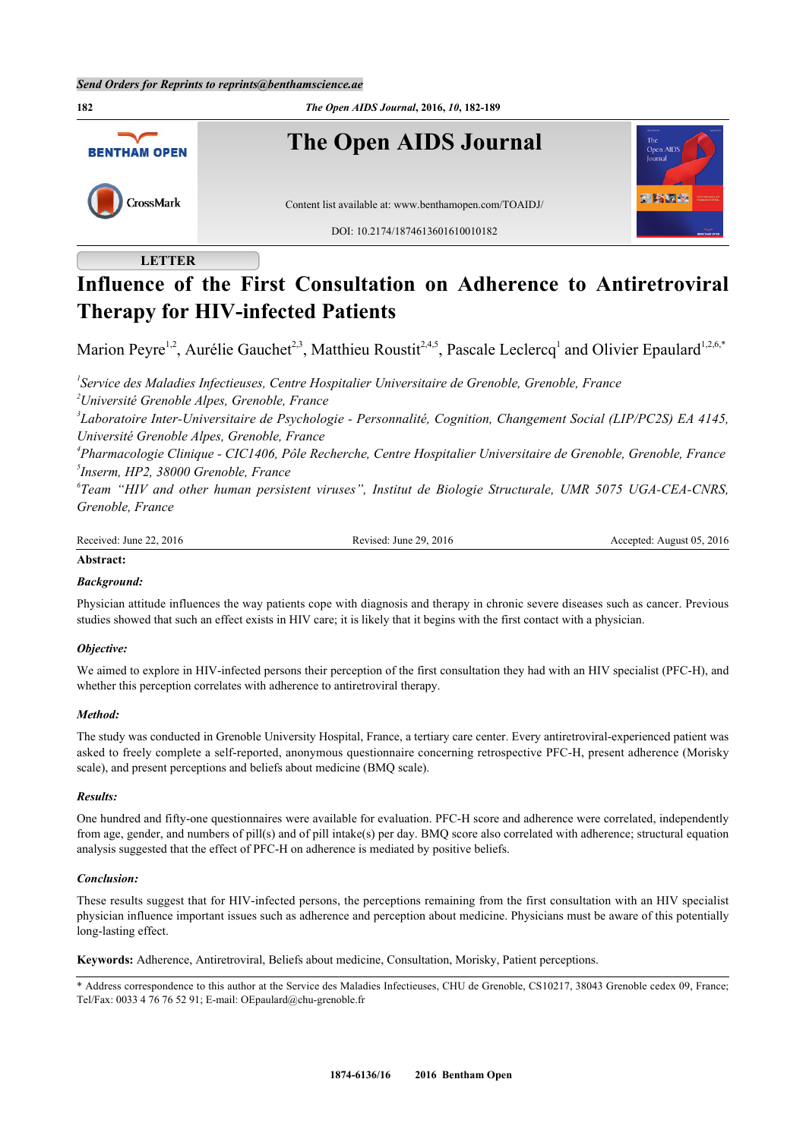

# **LETTER**

# **Influence of the First Consultation on Adherence to Antiretroviral Therapy for HIV-infected Patients**

Marion Peyre<sup>[1,](#page-0-0)[2](#page-0-1)</sup>, Aurélie Gauchet<sup>[2,](#page-0-1)[3](#page-0-2)</sup>, Matthieu Roustit<sup>2,[4](#page-0-3),[5](#page-0-4)</sup>, Pascale Leclercq<sup>[1](#page-0-0)</sup> and Olivier Epaulard<sup>1,2,[6](#page-0-5),[\\*](#page-0-6)</sup>

<span id="page-0-1"></span><span id="page-0-0"></span>*1 Service des Maladies Infectieuses, Centre Hospitalier Universitaire de Grenoble, Grenoble, France <sup>2</sup>Université Grenoble Alpes, Grenoble, France*

<span id="page-0-2"></span>*3 Laboratoire Inter-Universitaire de Psychologie - Personnalité, Cognition, Changement Social (LIP/PC2S) EA 4145, Université Grenoble Alpes, Grenoble, France*

<span id="page-0-4"></span><span id="page-0-3"></span>*4 Pharmacologie Clinique - CIC1406, Pôle Recherche, Centre Hospitalier Universitaire de Grenoble, Grenoble, France 5 Inserm, HP2, 38000 Grenoble, France*

<span id="page-0-5"></span>*6 Team "HIV and other human persistent viruses", Institut de Biologie Structurale, UMR 5075 UGA-CEA-CNRS, Grenoble, France*

| Received: | 2016     | 2016      |
|-----------|----------|-----------|
| 2016      | 29       | August 05 |
| June      | Revised: | Accepted  |
|           | June     | . .       |
|           | .        | .         |

## **Abstract:**

## *Background:*

Physician attitude influences the way patients cope with diagnosis and therapy in chronic severe diseases such as cancer. Previous studies showed that such an effect exists in HIV care; it is likely that it begins with the first contact with a physician.

## *Objective:*

We aimed to explore in HIV-infected persons their perception of the first consultation they had with an HIV specialist (PFC-H), and whether this perception correlates with adherence to antiretroviral therapy.

## *Method:*

The study was conducted in Grenoble University Hospital, France, a tertiary care center. Every antiretroviral-experienced patient was asked to freely complete a self-reported, anonymous questionnaire concerning retrospective PFC-H, present adherence (Morisky scale), and present perceptions and beliefs about medicine (BMQ scale).

## *Results:*

One hundred and fifty-one questionnaires were available for evaluation. PFC-H score and adherence were correlated, independently from age, gender, and numbers of pill(s) and of pill intake(s) per day. BMQ score also correlated with adherence; structural equation analysis suggested that the effect of PFC-H on adherence is mediated by positive beliefs.

## *Conclusion:*

These results suggest that for HIV-infected persons, the perceptions remaining from the first consultation with an HIV specialist physician influence important issues such as adherence and perception about medicine. Physicians must be aware of this potentially long-lasting effect.

**Keywords:** Adherence, Antiretroviral, Beliefs about medicine, Consultation, Morisky, Patient perceptions.

<span id="page-0-6"></span>\* Address correspondence to this author at the Service des Maladies Infectieuses, CHU de Grenoble, CS10217, 38043 Grenoble cedex 09, France; Tel/Fax: 0033 4 76 76 52 91; E-mail: [OEpaulard@chu-grenoble.fr](mailto:OEpaulard@chu-grenoble.fr)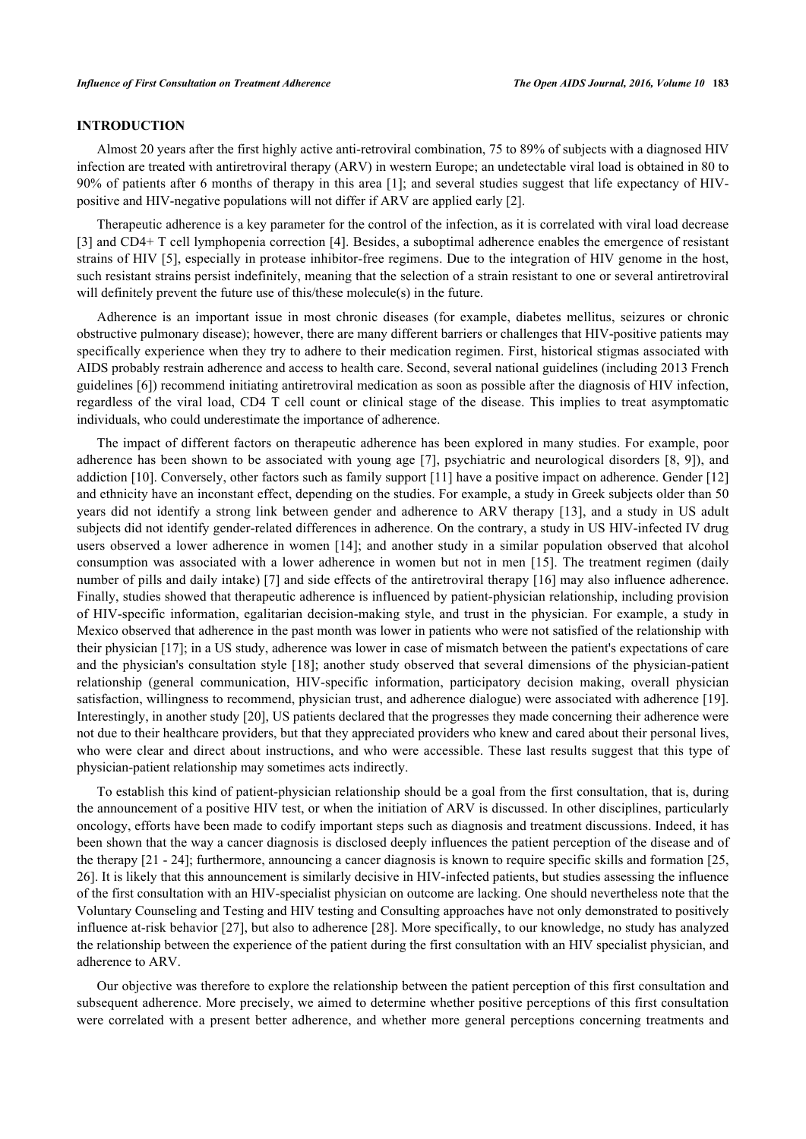# **INTRODUCTION**

Almost 20 years after the first highly active anti-retroviral combination, 75 to 89% of subjects with a diagnosed HIV infection are treated with antiretroviral therapy (ARV) in western Europe; an undetectable viral load is obtained in 80 to 90% of patients after 6 months of therapy in this area [[1](#page-6-0)]; and several studies suggest that life expectancy of HIVpositive and HIV-negative populations will not differ if ARV are applied early [\[2](#page-6-1)].

Therapeutic adherence is a key parameter for the control of the infection, as it is correlated with viral load decrease [\[3](#page-6-2)] and CD4+ T cell lymphopenia correction [[4](#page-6-3)]. Besides, a suboptimal adherence enables the emergence of resistant strains of HIV [[5\]](#page-6-4), especially in protease inhibitor-free regimens. Due to the integration of HIV genome in the host, such resistant strains persist indefinitely, meaning that the selection of a strain resistant to one or several antiretroviral will definitely prevent the future use of this/these molecule(s) in the future.

Adherence is an important issue in most chronic diseases (for example, diabetes mellitus, seizures or chronic obstructive pulmonary disease); however, there are many different barriers or challenges that HIV-positive patients may specifically experience when they try to adhere to their medication regimen. First, historical stigmas associated with AIDS probably restrain adherence and access to health care. Second, several national guidelines (including 2013 French guidelines [\[6](#page-6-5)]) recommend initiating antiretroviral medication as soon as possible after the diagnosis of HIV infection, regardless of the viral load, CD4 T cell count or clinical stage of the disease. This implies to treat asymptomatic individuals, who could underestimate the importance of adherence.

The impact of different factors on therapeutic adherence has been explored in many studies. For example, poor adherence has been shown to be associated with young age [[7](#page-6-6)], psychiatric and neurological disorders [[8,](#page-6-7) [9\]](#page-6-8)), and addiction [\[10](#page-6-9)]. Conversely, other factors such as family support [\[11](#page-6-10)] have a positive impact on adherence. Gender [\[12](#page-6-11)] and ethnicity have an inconstant effect, depending on the studies. For example, a study in Greek subjects older than 50 years did not identify a strong link between gender and adherence to ARV therapy [[13](#page-6-12)], and a study in US adult subjects did not identify gender-related differences in adherence. On the contrary, a study in US HIV-infected IV drug users observed a lower adherence in women [[14](#page-6-13)]; and another study in a similar population observed that alcohol consumption was associated with a lower adherence in women but not in men [[15\]](#page-6-14). The treatment regimen (daily number of pills and daily intake) [\[7\]](#page-6-6) and side effects of the antiretroviral therapy [\[16\]](#page-6-15) may also influence adherence. Finally, studies showed that therapeutic adherence is influenced by patient-physician relationship, including provision of HIV-specific information, egalitarian decision-making style, and trust in the physician. For example, a study in Mexico observed that adherence in the past month was lower in patients who were not satisfied of the relationship with their physician [\[17](#page-6-16)]; in a US study, adherence was lower in case of mismatch between the patient's expectations of care and the physician's consultation style [[18](#page-6-17)]; another study observed that several dimensions of the physician-patient relationship (general communication, HIV-specific information, participatory decision making, overall physician satisfaction, willingness to recommend, physician trust, and adherence dialogue) were associated with adherence [[19\]](#page-6-18). Interestingly, in another study [[20\]](#page-7-0), US patients declared that the progresses they made concerning their adherence were not due to their healthcare providers, but that they appreciated providers who knew and cared about their personal lives, who were clear and direct about instructions, and who were accessible. These last results suggest that this type of physician-patient relationship may sometimes acts indirectly.

To establish this kind of patient-physician relationship should be a goal from the first consultation, that is, during the announcement of a positive HIV test, or when the initiation of ARV is discussed. In other disciplines, particularly oncology, efforts have been made to codify important steps such as diagnosis and treatment discussions. Indeed, it has been shown that the way a cancer diagnosis is disclosed deeply influences the patient perception of the disease and of the therapy [[21](#page-7-1) - [24](#page-7-2)]; furthermore, announcing a cancer diagnosis is known to require specific skills and formation [[25](#page-7-3), [26\]](#page-7-4). It is likely that this announcement is similarly decisive in HIV-infected patients, but studies assessing the influence of the first consultation with an HIV-specialist physician on outcome are lacking. One should nevertheless note that the Voluntary Counseling and Testing and HIV testing and Consulting approaches have not only demonstrated to positively influence at-risk behavior [[27](#page-7-5)], but also to adherence [[28\]](#page-7-6). More specifically, to our knowledge, no study has analyzed the relationship between the experience of the patient during the first consultation with an HIV specialist physician, and adherence to ARV.

Our objective was therefore to explore the relationship between the patient perception of this first consultation and subsequent adherence. More precisely, we aimed to determine whether positive perceptions of this first consultation were correlated with a present better adherence, and whether more general perceptions concerning treatments and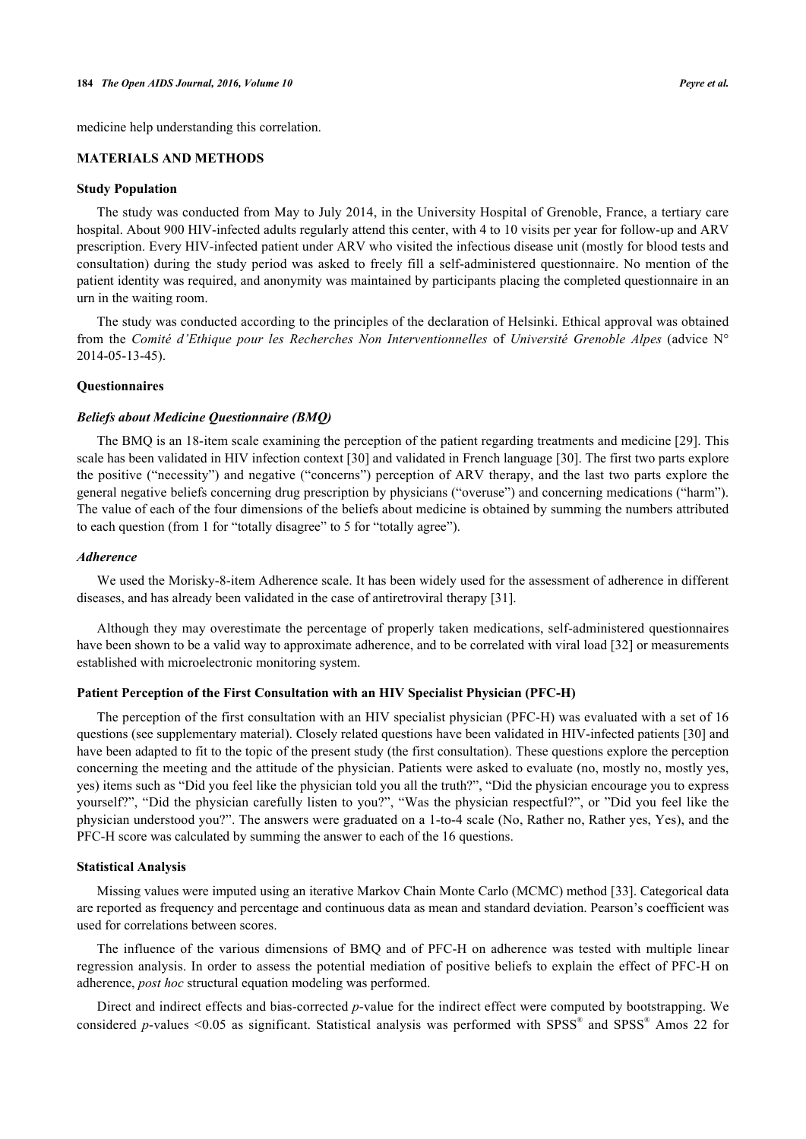medicine help understanding this correlation.

# **MATERIALS AND METHODS**

# **Study Population**

The study was conducted from May to July 2014, in the University Hospital of Grenoble, France, a tertiary care hospital. About 900 HIV-infected adults regularly attend this center, with 4 to 10 visits per year for follow-up and ARV prescription. Every HIV-infected patient under ARV who visited the infectious disease unit (mostly for blood tests and consultation) during the study period was asked to freely fill a self-administered questionnaire. No mention of the patient identity was required, and anonymity was maintained by participants placing the completed questionnaire in an urn in the waiting room.

The study was conducted according to the principles of the declaration of Helsinki. Ethical approval was obtained from the *Comité d'Ethique pour les Recherches Non Interventionnelles* of *Université Grenoble Alpes* (advice N° 2014-05-13-45).

#### **Questionnaires**

#### *Beliefs about Medicine Questionnaire (BMQ)*

The BMQ is an 18-item scale examining the perception of the patient regarding treatments and medicine [[29](#page-7-7)]. This scale has been validated in HIV infection context [[30\]](#page-7-8) and validated in French language [\[30](#page-7-8)]. The first two parts explore the positive ("necessity") and negative ("concerns") perception of ARV therapy, and the last two parts explore the general negative beliefs concerning drug prescription by physicians ("overuse") and concerning medications ("harm"). The value of each of the four dimensions of the beliefs about medicine is obtained by summing the numbers attributed to each question (from 1 for "totally disagree" to 5 for "totally agree").

#### *Adherence*

We used the Morisky-8-item Adherence scale. It has been widely used for the assessment of adherence in different diseases, and has already been validated in the case of antiretroviral therapy [[31\]](#page-7-9).

Although they may overestimate the percentage of properly taken medications, self-administered questionnaires have been shown to be a valid way to approximate adherence, and to be correlated with viral load [\[32](#page-7-10)] or measurements established with microelectronic monitoring system.

#### **Patient Perception of the First Consultation with an HIV Specialist Physician (PFC-H)**

The perception of the first consultation with an HIV specialist physician (PFC-H) was evaluated with a set of 16 questions (see supplementary material). Closely related questions have been validated in HIV-infected patients [\[30](#page-7-8)] and have been adapted to fit to the topic of the present study (the first consultation). These questions explore the perception concerning the meeting and the attitude of the physician. Patients were asked to evaluate (no, mostly no, mostly yes, yes) items such as "Did you feel like the physician told you all the truth?", "Did the physician encourage you to express yourself?", "Did the physician carefully listen to you?", "Was the physician respectful?", or "Did you feel like the physician understood you?". The answers were graduated on a 1-to-4 scale (No, Rather no, Rather yes, Yes), and the PFC-H score was calculated by summing the answer to each of the 16 questions.

#### **Statistical Analysis**

Missing values were imputed using an iterative Markov Chain Monte Carlo (MCMC) method [[33\]](#page-7-11). Categorical data are reported as frequency and percentage and continuous data as mean and standard deviation. Pearson's coefficient was used for correlations between scores.

The influence of the various dimensions of BMQ and of PFC-H on adherence was tested with multiple linear regression analysis. In order to assess the potential mediation of positive beliefs to explain the effect of PFC-H on adherence, *post hoc* structural equation modeling was performed.

Direct and indirect effects and bias-corrected *p*-value for the indirect effect were computed by bootstrapping. We considered *p*-values <0.05 as significant. Statistical analysis was performed with SPSS® and SPSS® Amos 22 for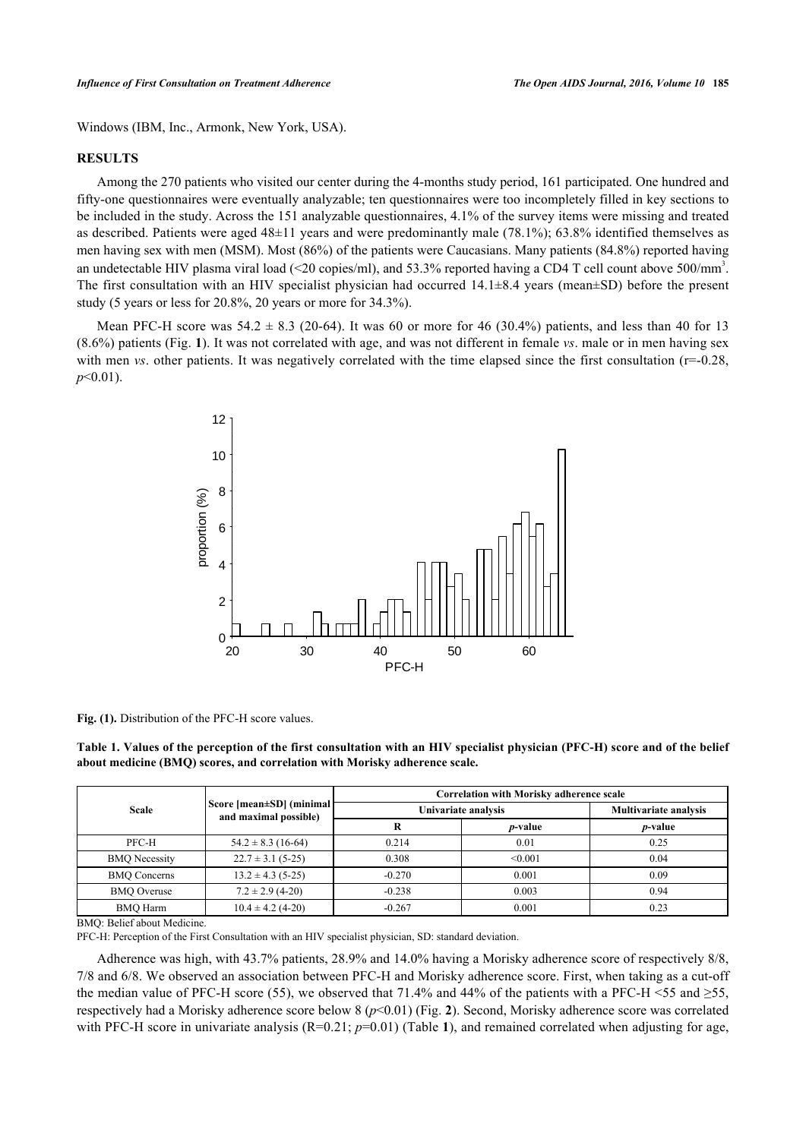Windows (IBM, Inc., Armonk, New York, USA).

# **RESULTS**

Among the 270 patients who visited our center during the 4-months study period, 161 participated. One hundred and fifty-one questionnaires were eventually analyzable; ten questionnaires were too incompletely filled in key sections to be included in the study. Across the 151 analyzable questionnaires, 4.1% of the survey items were missing and treated as described. Patients were aged 48±11 years and were predominantly male (78.1%); 63.8% identified themselves as men having sex with men (MSM). Most (86%) of the patients were Caucasians. Many patients (84.8%) reported having an undetectable HIV plasma viral load (<20 copies/ml), and 53.3% reported having a CD4 T cell count above 500/mm<sup>3</sup>. The first consultation with an HIV specialist physician had occurred  $14.1\pm8.4$  years (mean $\pm$ SD) before the present study (5 years or less for 20.8%, 20 years or more for 34.3%).

Mean PFC-H score was  $54.2 \pm 8.3$  ([20](#page-7-0)-64). It was 60 or more for 46 (30.4%) patients, and less than 40 for 13 (8.6%) patients (Fig. **[1](#page--1-0)**). It was not correlated with age, and was not different in female *vs*. male or in men having sex with men *vs*. other patients. It was negatively correlated with the time elapsed since the first consultation (r=-0.28, *p*<0.01).



**Fig. (1).** Distribution of the PFC-H score values.

<span id="page-3-0"></span>**Table 1. Values of the perception of the first consultation with an HIV specialist physician (PFC-H) score and of the belief about medicine (BMQ) scores, and correlation with Morisky adherence scale.**

| <b>Scale</b>         | Score [mean±SD] (minimal]<br>and maximal possible) | <b>Correlation with Morisky adherence scale</b> |                 |                              |
|----------------------|----------------------------------------------------|-------------------------------------------------|-----------------|------------------------------|
|                      |                                                    | Univariate analysis                             |                 | <b>Multivariate analysis</b> |
|                      |                                                    |                                                 | <i>p</i> -value | <i>p</i> -value              |
| PFC-H                | $54.2 \pm 8.3$ (16-64)                             | 0.214                                           | 0.01            | 0.25                         |
| <b>BMQ</b> Necessity | $22.7 \pm 3.1$ (5-25)                              | 0.308                                           | < 0.001         | 0.04                         |
| <b>BMO</b> Concerns  | $13.2 \pm 4.3$ (5-25)                              | $-0.270$                                        | 0.001           | 0.09                         |
| <b>BMO</b> Overuse   | $7.2 \pm 2.9$ (4-20)                               | $-0.238$                                        | 0.003           | 0.94                         |
| <b>BMO</b> Harm      | $10.4 \pm 4.2$ (4-20)                              | $-0.267$                                        | 0.001           | 0.23                         |

BMQ: Belief about Medicine.

PFC-H: Perception of the First Consultation with an HIV specialist physician, SD: standard deviation.

Adherence was high, with 43.7% patients, 28.9% and 14.0% having a Morisky adherence score of respectively 8/8, 7/8 and 6/8. We observed an association between PFC-H and Morisky adherence score. First, when taking as a cut-off the median value of PFC-H score (55), we observed that 71.4% and 44% of the patients with a PFC-H <55 and  $\geq$ 55, respectively had a Morisky adherence score below 8 (*p*<0.01) (Fig. **[2](#page-4-0)**). Second, Morisky adherence score was correlated with PFC-H score in univariate analysis  $(R=0.21; p=0.01)$  $(R=0.21; p=0.01)$  $(R=0.21; p=0.01)$  (Table 1), and remained correlated when adjusting for age,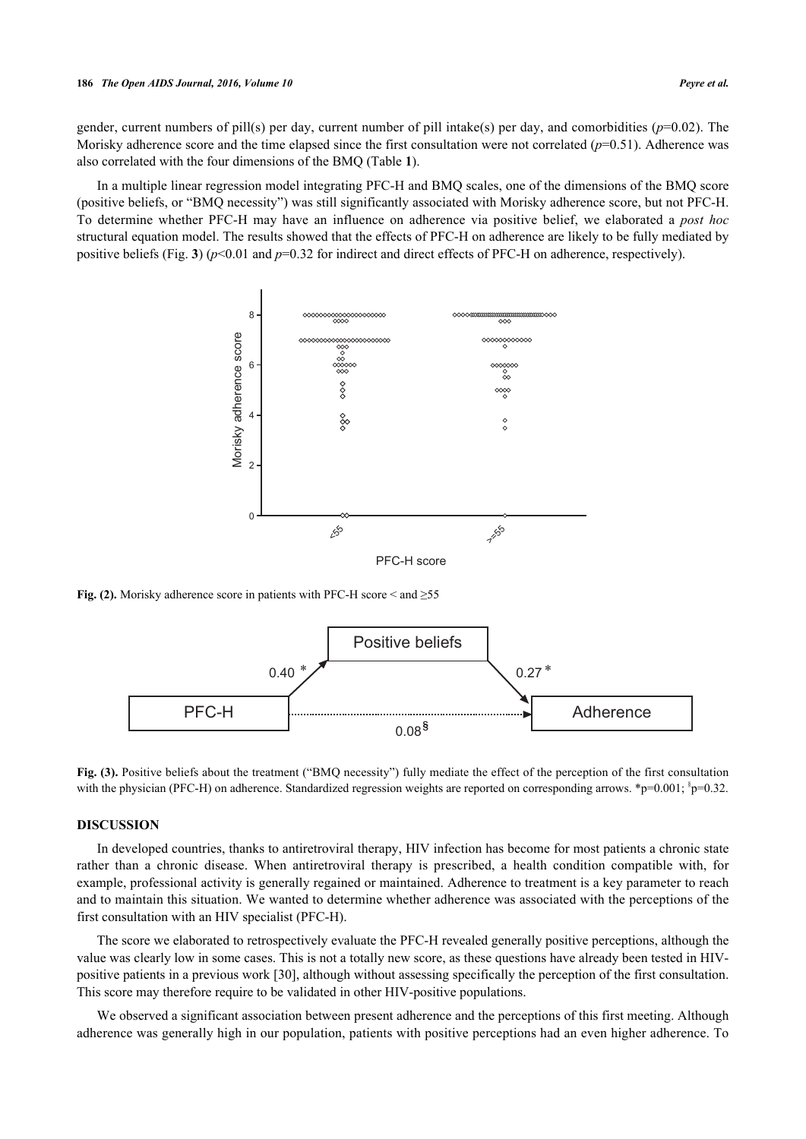gender, current numbers of pill(s) per day, current number of pill intake(s) per day, and comorbidities (*p*=0.02). The Morisky adherence score and the time elapsed since the first consultation were not correlated  $(p=0.51)$ . Adherence was also correlated with the four dimensions of the BMQ (Table **[1](#page-3-0)**).

<span id="page-4-0"></span>In a multiple linear regression model integrating PFC-H and BMQ scales, one of the dimensions of the BMQ score (positive beliefs, or "BMQ necessity") was still significantly associated with Morisky adherence score, but not PFC-H. To determine whether PFC-H may have an influence on adherence via positive belief, we elaborated a *post hoc* structural equation model. The results showed that the effects of PFC-H on adherence are likely to be fully mediated by positive beliefs (Fig. **[3](#page-4-1)**) (*p*<0.01 and *p*=0.32 for indirect and direct effects of PFC-H on adherence, respectively).



<span id="page-4-1"></span>**Fig. (2).** Morisky adherence score in patients with PFC-H score  $\leq$  and  $\geq$ 55



**Fig. (3).** Positive beliefs about the treatment ("BMQ necessity") fully mediate the effect of the perception of the first consultation with the physician (PFC-H) on adherence. Standardized regression weights are reported on corresponding arrows. \* $p=0.001$ ;  $p=0.32$ .

## **DISCUSSION**

In developed countries, thanks to antiretroviral therapy, HIV infection has become for most patients a chronic state rather than a chronic disease. When antiretroviral therapy is prescribed, a health condition compatible with, for example, professional activity is generally regained or maintained. Adherence to treatment is a key parameter to reach and to maintain this situation. We wanted to determine whether adherence was associated with the perceptions of the first consultation with an HIV specialist (PFC-H).

The score we elaborated to retrospectively evaluate the PFC-H revealed generally positive perceptions, although the value was clearly low in some cases. This is not a totally new score, as these questions have already been tested in HIVpositive patients in a previous work [\[30](#page-7-8)], although without assessing specifically the perception of the first consultation. This score may therefore require to be validated in other HIV-positive populations.

We observed a significant association between present adherence and the perceptions of this first meeting. Although adherence was generally high in our population, patients with positive perceptions had an even higher adherence. To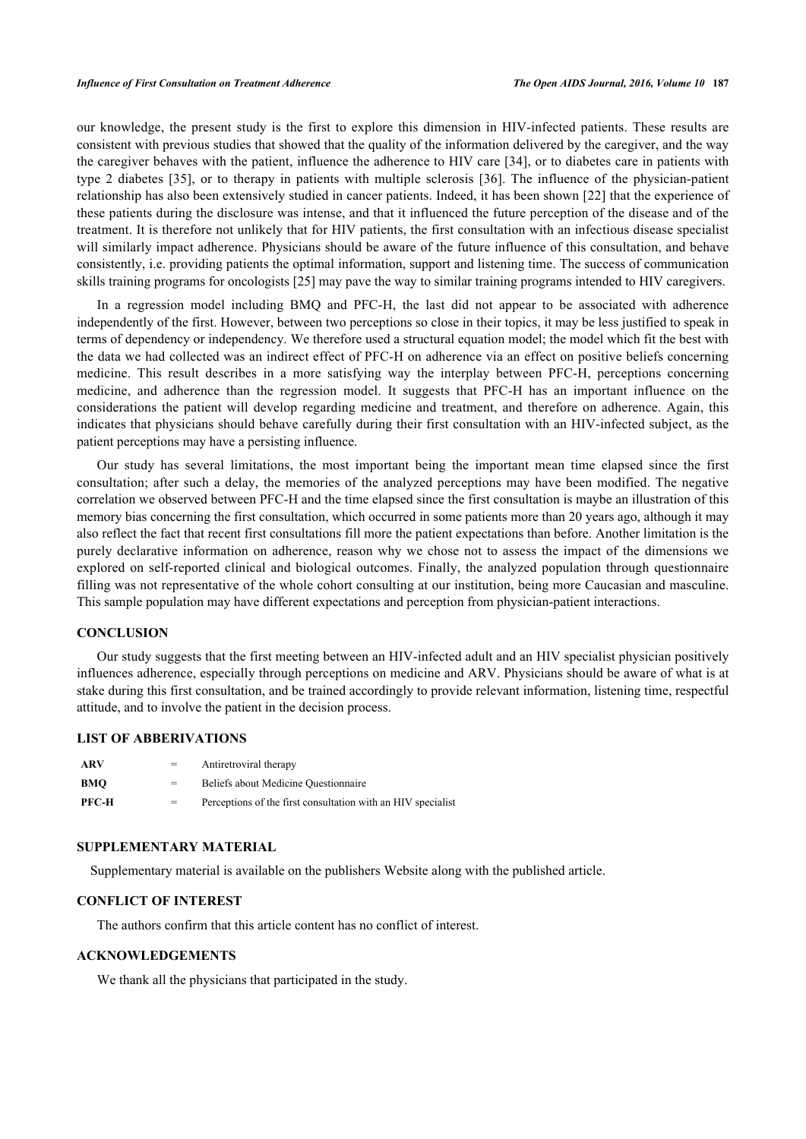our knowledge, the present study is the first to explore this dimension in HIV-infected patients. These results are consistent with previous studies that showed that the quality of the information delivered by the caregiver, and the way the caregiver behaves with the patient, influence the adherence to HIV care [\[34](#page-7-12)], or to diabetes care in patients with type 2 diabetes[[35](#page-7-13)], or to therapy in patients with multiple sclerosis [\[36\]](#page-7-14). The influence of the physician-patient relationship has also been extensively studied in cancer patients. Indeed, it has been shown [[22](#page-7-15)] that the experience of these patients during the disclosure was intense, and that it influenced the future perception of the disease and of the treatment. It is therefore not unlikely that for HIV patients, the first consultation with an infectious disease specialist will similarly impact adherence. Physicians should be aware of the future influence of this consultation, and behave consistently, i.e. providing patients the optimal information, support and listening time. The success of communication skills training programs for oncologists [[25\]](#page-7-3) may pave the way to similar training programs intended to HIV caregivers.

In a regression model including BMQ and PFC-H, the last did not appear to be associated with adherence independently of the first. However, between two perceptions so close in their topics, it may be less justified to speak in terms of dependency or independency. We therefore used a structural equation model; the model which fit the best with the data we had collected was an indirect effect of PFC-H on adherence via an effect on positive beliefs concerning medicine. This result describes in a more satisfying way the interplay between PFC-H, perceptions concerning medicine, and adherence than the regression model. It suggests that PFC-H has an important influence on the considerations the patient will develop regarding medicine and treatment, and therefore on adherence. Again, this indicates that physicians should behave carefully during their first consultation with an HIV-infected subject, as the patient perceptions may have a persisting influence.

Our study has several limitations, the most important being the important mean time elapsed since the first consultation; after such a delay, the memories of the analyzed perceptions may have been modified. The negative correlation we observed between PFC-H and the time elapsed since the first consultation is maybe an illustration of this memory bias concerning the first consultation, which occurred in some patients more than 20 years ago, although it may also reflect the fact that recent first consultations fill more the patient expectations than before. Another limitation is the purely declarative information on adherence, reason why we chose not to assess the impact of the dimensions we explored on self-reported clinical and biological outcomes. Finally, the analyzed population through questionnaire filling was not representative of the whole cohort consulting at our institution, being more Caucasian and masculine. This sample population may have different expectations and perception from physician-patient interactions.

## **CONCLUSION**

Our study suggests that the first meeting between an HIV-infected adult and an HIV specialist physician positively influences adherence, especially through perceptions on medicine and ARV. Physicians should be aware of what is at stake during this first consultation, and be trained accordingly to provide relevant information, listening time, respectful attitude, and to involve the patient in the decision process.

## **LIST OF ABBERIVATIONS**

| ARV   | $=$ | Antiretroviral therapy                                       |
|-------|-----|--------------------------------------------------------------|
| BMO   | $=$ | Beliefs about Medicine Ouestionnaire                         |
| PFC-H | $=$ | Perceptions of the first consultation with an HIV specialist |

#### **SUPPLEMENTARY MATERIAL**

Supplementary material is available on the publishers Website along with the published article.

# **CONFLICT OF INTEREST**

The authors confirm that this article content has no conflict of interest.

## **ACKNOWLEDGEMENTS**

We thank all the physicians that participated in the study.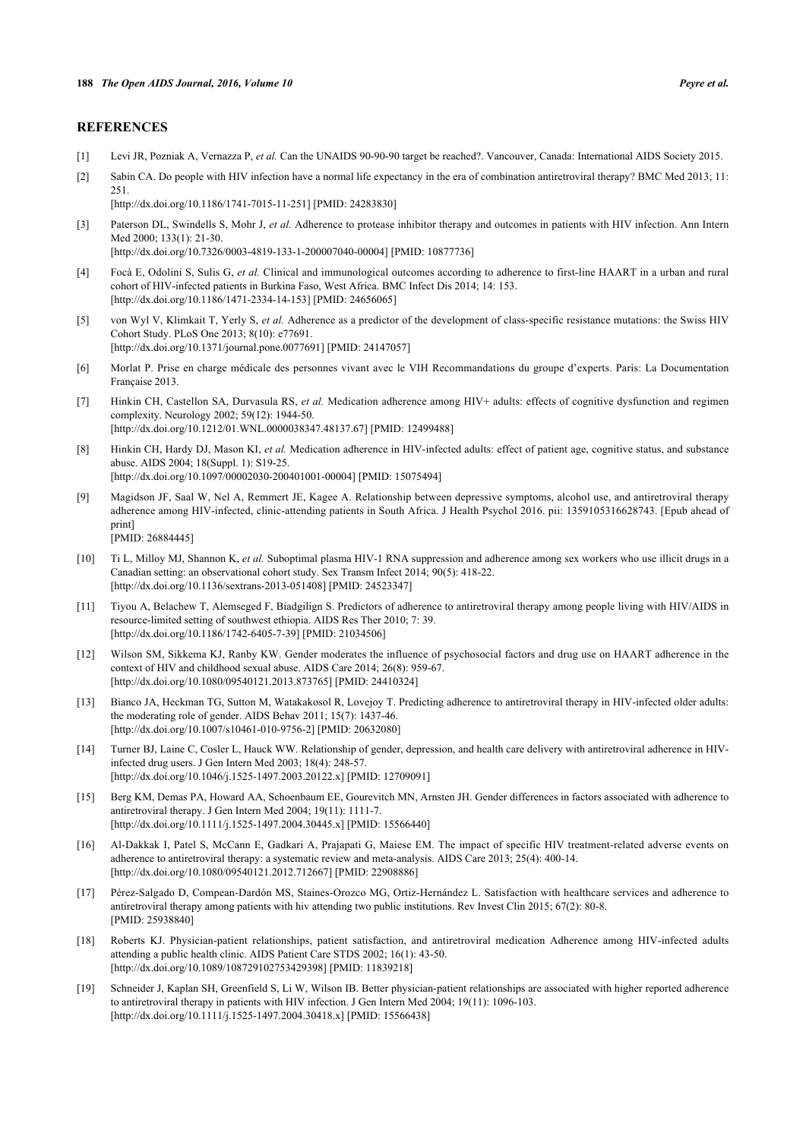## **REFERENCES**

- <span id="page-6-0"></span>[1] Levi JR, Pozniak A, Vernazza P, *et al.* Can the UNAIDS 90-90-90 target be reached?. Vancouver, Canada: International AIDS Society 2015.
- <span id="page-6-1"></span>[2] Sabin CA. Do people with HIV infection have a normal life expectancy in the era of combination antiretroviral therapy? BMC Med 2013; 11: 251.

[\[http://dx.doi.org/10.1186/1741-7015-11-251\]](http://dx.doi.org/10.1186/1741-7015-11-251) [PMID: [24283830](http://www.ncbi.nlm.nih.gov/pubmed/24283830)]

[\[http://dx.doi.org/10.1186/1471-2334-14-153\]](http://dx.doi.org/10.1186/1471-2334-14-153) [PMID: [24656065](http://www.ncbi.nlm.nih.gov/pubmed/24656065)]

<span id="page-6-2"></span>[3] Paterson DL, Swindells S, Mohr J, *et al.* Adherence to protease inhibitor therapy and outcomes in patients with HIV infection. Ann Intern Med 2000; 133(1): 21-30. [\[http://dx.doi.org/10.7326/0003-4819-133-1-200007040-00004](http://dx.doi.org/10.7326/0003-4819-133-1-200007040-00004)] [PMID: [10877736\]](http://www.ncbi.nlm.nih.gov/pubmed/10877736)

<span id="page-6-3"></span>[4] Focà E, Odolini S, Sulis G, *et al.* Clinical and immunological outcomes according to adherence to first-line HAART in a urban and rural cohort of HIV-infected patients in Burkina Faso, West Africa. BMC Infect Dis 2014; 14: 153.

- <span id="page-6-4"></span>[5] von Wyl V, Klimkait T, Yerly S, *et al.* Adherence as a predictor of the development of class-specific resistance mutations: the Swiss HIV Cohort Study. PLoS One 2013; 8(10): e77691. [\[http://dx.doi.org/10.1371/journal.pone.0077691](http://dx.doi.org/10.1371/journal.pone.0077691)] [PMID: [24147057\]](http://www.ncbi.nlm.nih.gov/pubmed/24147057)
- <span id="page-6-5"></span>[6] Morlat P. Prise en charge médicale des personnes vivant avec le VIH Recommandations du groupe d'experts. Paris: La Documentation Française 2013.
- <span id="page-6-6"></span>[7] Hinkin CH, Castellon SA, Durvasula RS, *et al.* Medication adherence among HIV+ adults: effects of cognitive dysfunction and regimen complexity. Neurology 2002; 59(12): 1944-50. [\[http://dx.doi.org/10.1212/01.WNL.0000038347.48137.67](http://dx.doi.org/10.1212/01.WNL.0000038347.48137.67)] [PMID: [12499488\]](http://www.ncbi.nlm.nih.gov/pubmed/12499488)
- <span id="page-6-7"></span>[8] Hinkin CH, Hardy DJ, Mason KI, *et al.* Medication adherence in HIV-infected adults: effect of patient age, cognitive status, and substance abuse. AIDS 2004; 18(Suppl. 1): S19-25. [\[http://dx.doi.org/10.1097/00002030-200401001-00004](http://dx.doi.org/10.1097/00002030-200401001-00004)] [PMID: [15075494\]](http://www.ncbi.nlm.nih.gov/pubmed/15075494)
- <span id="page-6-8"></span>[9] Magidson JF, Saal W, Nel A, Remmert JE, Kagee A. Relationship between depressive symptoms, alcohol use, and antiretroviral therapy adherence among HIV-infected, clinic-attending patients in South Africa. J Health Psychol 2016. pii: 1359105316628743. [Epub ahead of print] [PMID: [26884445\]](http://www.ncbi.nlm.nih.gov/pubmed/26884445)
- <span id="page-6-9"></span>[10] Ti L, Milloy MJ, Shannon K, *et al.* Suboptimal plasma HIV-1 RNA suppression and adherence among sex workers who use illicit drugs in a
- Canadian setting: an observational cohort study. Sex Transm Infect 2014; 90(5): 418-22. [\[http://dx.doi.org/10.1136/sextrans-2013-051408](http://dx.doi.org/10.1136/sextrans-2013-051408)] [PMID: [24523347\]](http://www.ncbi.nlm.nih.gov/pubmed/24523347)
- <span id="page-6-10"></span>[11] Tiyou A, Belachew T, Alemseged F, Biadgilign S. Predictors of adherence to antiretroviral therapy among people living with HIV/AIDS in resource-limited setting of southwest ethiopia. AIDS Res Ther 2010; 7: 39. [\[http://dx.doi.org/10.1186/1742-6405-7-39\]](http://dx.doi.org/10.1186/1742-6405-7-39) [PMID: [21034506](http://www.ncbi.nlm.nih.gov/pubmed/21034506)]
- <span id="page-6-11"></span>[12] Wilson SM, Sikkema KJ, Ranby KW. Gender moderates the influence of psychosocial factors and drug use on HAART adherence in the context of HIV and childhood sexual abuse. AIDS Care 2014; 26(8): 959-67. [\[http://dx.doi.org/10.1080/09540121.2013.873765\]](http://dx.doi.org/10.1080/09540121.2013.873765) [PMID: [24410324](http://www.ncbi.nlm.nih.gov/pubmed/24410324)]
- <span id="page-6-12"></span>[13] Bianco JA, Heckman TG, Sutton M, Watakakosol R, Lovejoy T. Predicting adherence to antiretroviral therapy in HIV-infected older adults: the moderating role of gender. AIDS Behav 2011; 15(7): 1437-46. [\[http://dx.doi.org/10.1007/s10461-010-9756-2\]](http://dx.doi.org/10.1007/s10461-010-9756-2) [PMID: [20632080](http://www.ncbi.nlm.nih.gov/pubmed/20632080)]
- <span id="page-6-13"></span>[14] Turner BJ, Laine C, Cosler L, Hauck WW. Relationship of gender, depression, and health care delivery with antiretroviral adherence in HIVinfected drug users. J Gen Intern Med 2003; 18(4): 248-57. [\[http://dx.doi.org/10.1046/j.1525-1497.2003.20122.x\]](http://dx.doi.org/10.1046/j.1525-1497.2003.20122.x) [PMID: [12709091](http://www.ncbi.nlm.nih.gov/pubmed/12709091)]
- <span id="page-6-14"></span>[15] Berg KM, Demas PA, Howard AA, Schoenbaum EE, Gourevitch MN, Arnsten JH. Gender differences in factors associated with adherence to antiretroviral therapy. J Gen Intern Med 2004; 19(11): 1111-7. [\[http://dx.doi.org/10.1111/j.1525-1497.2004.30445.x\]](http://dx.doi.org/10.1111/j.1525-1497.2004.30445.x) [PMID: [15566440](http://www.ncbi.nlm.nih.gov/pubmed/15566440)]
- <span id="page-6-15"></span>[16] Al-Dakkak I, Patel S, McCann E, Gadkari A, Prajapati G, Maiese EM. The impact of specific HIV treatment-related adverse events on adherence to antiretroviral therapy: a systematic review and meta-analysis. AIDS Care 2013; 25(4): 400-14. [\[http://dx.doi.org/10.1080/09540121.2012.712667\]](http://dx.doi.org/10.1080/09540121.2012.712667) [PMID: [22908886](http://www.ncbi.nlm.nih.gov/pubmed/22908886)]
- <span id="page-6-16"></span>[17] Pérez-Salgado D, Compean-Dardón MS, Staines-Orozco MG, Ortiz-Hernández L. Satisfaction with healthcare services and adherence to antiretroviral therapy among patients with hiv attending two public institutions. Rev Invest Clin 2015; 67(2): 80-8. [PMID: [25938840\]](http://www.ncbi.nlm.nih.gov/pubmed/25938840)
- <span id="page-6-17"></span>[18] Roberts KJ. Physician-patient relationships, patient satisfaction, and antiretroviral medication Adherence among HIV-infected adults attending a public health clinic. AIDS Patient Care STDS 2002; 16(1): 43-50. [\[http://dx.doi.org/10.1089/108729102753429398\]](http://dx.doi.org/10.1089/108729102753429398) [PMID: [11839218](http://www.ncbi.nlm.nih.gov/pubmed/11839218)]
- <span id="page-6-18"></span>[19] Schneider J, Kaplan SH, Greenfield S, Li W, Wilson IB. Better physician-patient relationships are associated with higher reported adherence to antiretroviral therapy in patients with HIV infection. J Gen Intern Med 2004; 19(11): 1096-103. [\[http://dx.doi.org/10.1111/j.1525-1497.2004.30418.x\]](http://dx.doi.org/10.1111/j.1525-1497.2004.30418.x) [PMID: [15566438](http://www.ncbi.nlm.nih.gov/pubmed/15566438)]